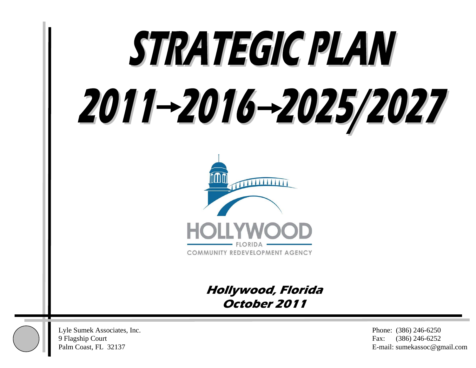# STRATEGIC PLAN 2011–2016–2025/2027



**Hollywood, Florida October 2011** 



Lyle Sumek Associates, Inc. Phone: (386) 246-6250 9 Flagship Court Fax: (386) 246-6252

Palm Coast, FL 32137 E-mail: sumekassoc@gmail.com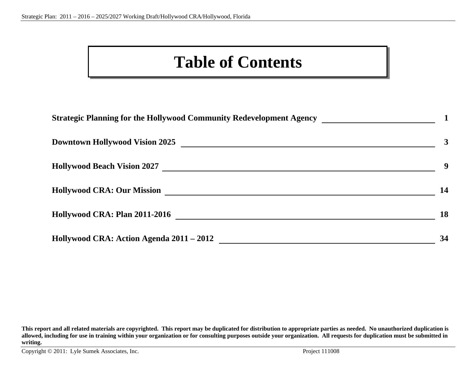### **Table of Contents**

| Strategic Planning for the Hollywood Community Redevelopment Agency ___________________ |              |
|-----------------------------------------------------------------------------------------|--------------|
| <b>Downtown Hollywood Vision 2025</b>                                                   | $\mathbf{3}$ |
| <b>Hollywood Beach Vision 2027</b>                                                      | 9            |
| <b>Hollywood CRA: Our Mission</b>                                                       | 14           |
| Hollywood CRA: Plan 2011-2016                                                           | 18           |
| Hollywood CRA: Action Agenda 2011 – 2012                                                | 34           |

**This report and all related materials are copyrighted. This report may be duplicated for distribution to appropriate parties as needed. No unauthorized duplication is allowed, including for use in training within your organization or for consulting purposes outside your organization. All requests for duplication must be submitted in writing.**

Copyright © 2011: Lyle Sumek Associates, Inc. Project 111008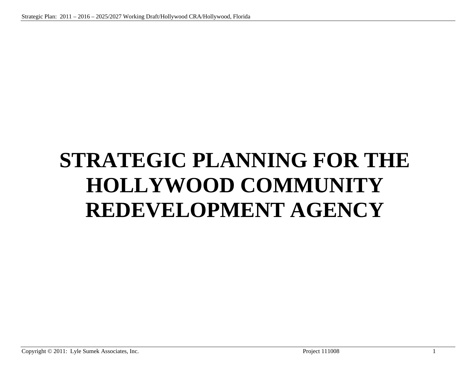## **STRATEGIC PLANNING FOR THE HOLLYWOOD COMMUNITY REDEVELOPMENT AGENCY**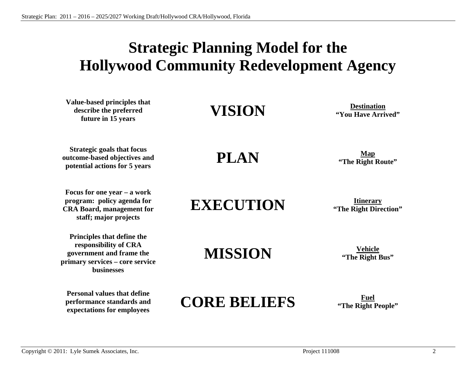### **Strategic Planning Model for the Hollywood Community Redevelopment Agency**

**Value-based principles that describe the preferred future in 15 years VISION Destination "You Have Arrived"** 

**Strategic goals that focus outcome-based objectives and potential actions for 5 years** 

**Focus for one year – a work program: policy agenda for CRA Board, management for staff; major projects** 

**Principles that define the responsibility of CRA government and frame the primary services – core service businesses** 

**Personal values that define performance standards and expectations for employees** 

**PLAN** *CHOOP* **<b>Map CHOOPPER CHOOPPER CHOOPPER CHOOPPER CHOOPPER CHOOPPER CHOOPPER CHOOPPER CHOOPPER CHOOPPER CHOOPPER CHOOPPER CHOOPPER CHOOPPER CHOOPPER CHOOPPER CHOOPPER CHOOPPER C** 

**EXECUTION Itinerary "The Right Direction"** 

**MISSION** <sup>**Vehicle <b>***Wehicle Wehicle Wehicle Wehicle* **<b>***Wehicle Wehicle Wehicle Wehicle Wehicle Wehicle* **<b>***Wehicle Wehicle Wehicle Wehicle Wehicle Wehicle Wehicle*</sup>

### **CORE BELIEFS Fuel "The Right People"**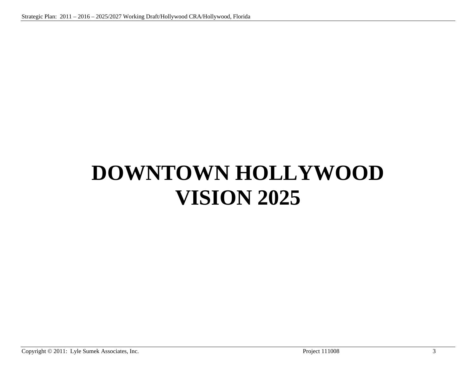## **DOWNTOWN HOLLYWOOD VISION 2025**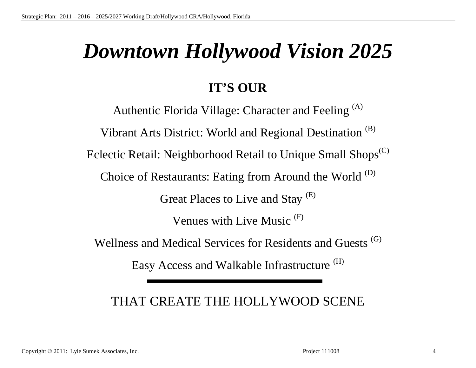## *Downtown Hollywood Vision 2025*

### **IT'S OUR**

Authentic Florida Village: Character and Feeling <sup>(A)</sup> Vibrant Arts District: World and Regional Destination (B) Eclectic Retail: Neighborhood Retail to Unique Small Shops<sup>(C)</sup> Choice of Restaurants: Eating from Around the World <sup>(D)</sup> Great Places to Live and Stay <sup>(E)</sup> Venues with Live Music (F) Wellness and Medical Services for Residents and Guests<sup>(G)</sup> Easy Access and Walkable Infrastructure<sup>(H)</sup>

### THAT CREATE THE HOLLYWOOD SCENE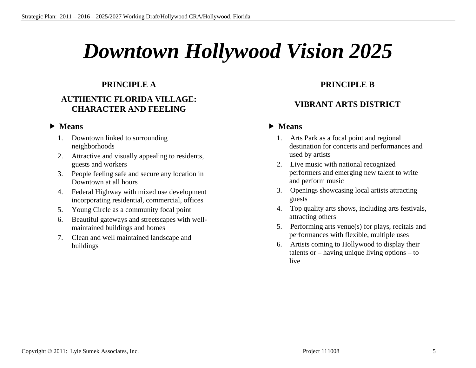### *Downtown Hollywood Vision 2025*

### **PRINCIPLE A**

### **AUTHENTIC FLORIDA VILLAGE: CHARACTER AND FEELING**

### • Means

- 1. Downtown linked to surrounding neighborhoods
- 2. Attractive and visually appealing to residents, guests and workers
- 3. People feeling safe and secure any location in Downtown at all hours
- 4. Federal Highway with mixed use development incorporating residential, commercial, offices
- 5. Young Circle as a community focal point
- 6. Beautiful gateways and streetscapes with wellmaintained buildings and homes
- 7. Clean and well maintained landscape and buildings

### **PRINCIPLE B**

### **VIBRANT ARTS DISTRICT**

- 1. Arts Park as a focal point and regional destination for concerts and performances and used by artists
- 2. Live music with national recognized performers and emerging new talent to write and perform music
- 3. Openings showcasing local artists attracting guests
- 4. Top quality arts shows, including arts festivals, attracting others
- 5. Performing arts venue(s) for plays, recitals and performances with flexible, multiple uses
- 6. Artists coming to Hollywood to display their talents or – having unique living options – to live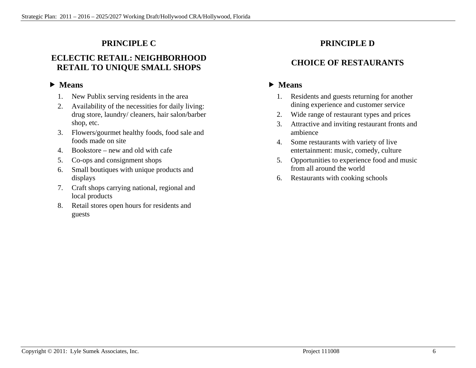### **PRINCIPLE C**

### **ECLECTIC RETAIL: NEIGHBORHOOD RETAIL TO UNIQUE SMALL SHOPS**

### • Means

- 1. New Publix serving residents in the area
- 2. Availability of the necessities for daily living: drug store, laundry/ cleaners, hair salon/barber shop, etc.
- 3. Flowers/gourmet healthy foods, food sale and foods made on site
- 4. Bookstore new and old with cafe
- 5. Co-ops and consignment shops
- 6. Small boutiques with unique products and displays
- 7. Craft shops carrying national, regional and local products
- 8. Retail stores open hours for residents and guests

### **PRINCIPLE D**

### **CHOICE OF RESTAURANTS**

- 1. Residents and guests returning for another dining experience and customer service
- 2. Wide range of restaurant types and prices
- 3. Attractive and inviting restaurant fronts and ambience
- 4. Some restaurants with variety of live entertainment: music, comedy, culture
- 5. Opportunities to experience food and music from all around the world
- 6. Restaurants with cooking schools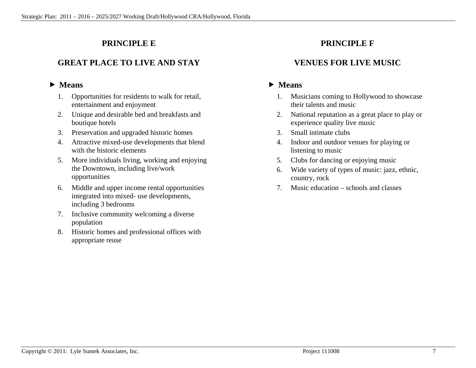### **PRINCIPLE E**

### **GREAT PLACE TO LIVE AND STAY**

### • Means

- 1. Opportunities for residents to walk for retail, entertainment and enjoyment
- 2. Unique and desirable bed and breakfasts and boutique hotels
- 3. Preservation and upgraded historic homes
- 4. Attractive mixed-use developments that blend with the historic elements
- 5. More individuals living, working and enjoying the Downtown, including live/work opportunities
- 6. Middle and upper income rental opportunities integrated into mixed- use developments, including 3 bedrooms
- 7. Inclusive community welcoming a diverse population
- 8. Historic homes and professional offices with appropriate reuse

### **PRINCIPLE F**

### **VENUES FOR LIVE MUSIC**

- 1. Musicians coming to Hollywood to showcase their talents and music
- 2. National reputation as a great place to play or experience quality live music
- 3. Small intimate clubs
- 4. Indoor and outdoor venues for playing or listening to music
- 5. Clubs for dancing or enjoying music
- 6. Wide variety of types of music: jazz, ethnic, country, rock
- 7. Music education schools and classes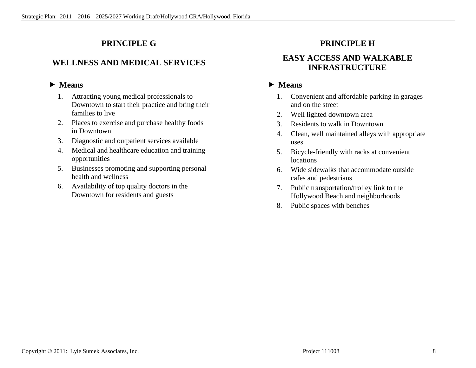### **PRINCIPLE G**

### **WELLNESS AND MEDICAL SERVICES**

### • Means

- 1. Attracting young medical professionals to Downtown to start their practice and bring their families to live
- 2. Places to exercise and purchase healthy foods in Downtown
- 3. Diagnostic and outpatient services available
- 4. Medical and healthcare education and training opportunities
- 5. Businesses promoting and supporting personal health and wellness
- 6. Availability of top quality doctors in the Downtown for residents and guests

### **PRINCIPLE H**

### **EASY ACCESS AND WALKABLE INFRASTRUCTURE**

- 1. Convenient and affordable parking in garages and on the street
- 2. Well lighted downtown area
- 3. Residents to walk in Downtown
- 4. Clean, well maintained alleys with appropriate uses
- 5. Bicycle-friendly with racks at convenient locations
- 6. Wide sidewalks that accommodate outside cafes and pedestrians
- 7. Public transportation/trolley link to the Hollywood Beach and neighborhoods
- 8. Public spaces with benches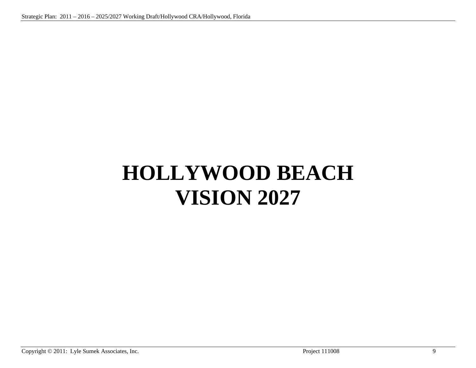## **HOLLYWOOD BEACH VISION 2027**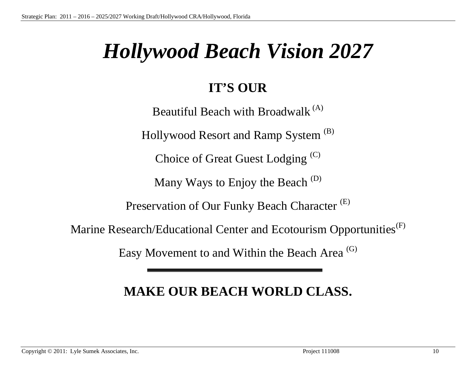### *Hollywood Beach Vision 2027*

### **IT'S OUR**

Beautiful Beach with Broadwalk<sup>(A)</sup> Hollywood Resort and Ramp System <sup>(B)</sup> Choice of Great Guest Lodging (C) Many Ways to Enjoy the Beach<sup>(D)</sup> Preservation of Our Funky Beach Character<sup>(E)</sup> Marine Research/Educational Center and Ecotourism Opportunities<sup>(F)</sup>

Easy Movement to and Within the Beach Area <sup>(G)</sup>

### **MAKE OUR BEACH WORLD CLASS.**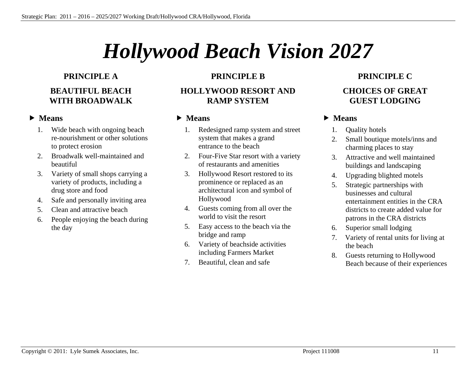## *Hollywood Beach Vision 2027*

### **PRINCIPLE A BEAUTIFUL BEACH WITH BROADWALK**

### • Means

- 1. Wide beach with ongoing beach re-nourishment or other solutions to protect erosion
- 2. Broadwalk well-maintained and beautiful
- 3. Variety of small shops carrying a variety of products, including a drug store and food
- 4. Safe and personally inviting area
- 5. Clean and attractive beach
- 6. People enjoying the beach during the day

### **PRINCIPLE B**

### **HOLLYWOOD RESORT AND RAMP SYSTEM**

### • Means

- 1. Redesigned ramp system and street system that makes a grand entrance to the beach
- 2. Four-Five Star resort with a variety of restaurants and amenities
- 3. Hollywood Resort restored to its prominence or replaced as an architectural icon and symbol of Hollywood
- 4. Guests coming from all over the world to visit the resort
- 5. Easy access to the beach via the bridge and ramp
- 6. Variety of beachside activities including Farmers Market
- 7. Beautiful, clean and safe

### **PRINCIPLE C CHOICES OF GREAT GUEST LODGING**

- 1. Quality hotels
- 2. Small boutique motels/inns and charming places to stay
- 3. Attractive and well maintained buildings and landscaping
- 4. Upgrading blighted motels
- 5. Strategic partnerships with businesses and cultural entertainment entities in the CRA districts to create added value for patrons in the CRA districts
- 6. Superior small lodging
- 7. Variety of rental units for living at the beach
- 8. Guests returning to Hollywood Beach because of their experiences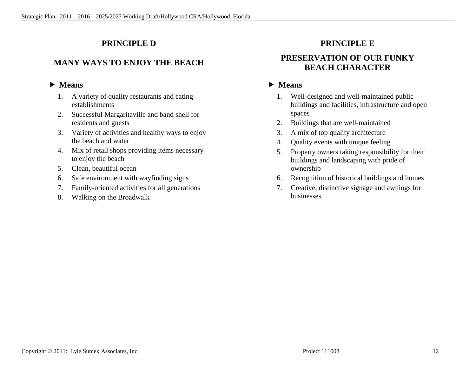### **PRINCIPLE D**

### **MANY WAYS TO ENJOY THE BEACH**

### • Means

- 1. A variety of quality restaurants and eating establishments
- 2. Successful Margaritaville and band shell for residents and guests
- 3. Variety of activities and healthy ways to enjoy the beach and water
- 4. Mix of retail shops providing items necessary to enjoy the beach
- 5. Clean, beautiful ocean
- 6. Safe environment with wayfinding signs
- 7. Family-oriented activities for all generations
- 8. Walking on the Broadwalk

### **PRINCIPLE E**

### **PRESERVATION OF OUR FUNKY BEACH CHARACTER**

- 1. Well-designed and well-maintained public buildings and facilities, infrastructure and open spaces
- 2. Buildings that are well-maintained
- 3. A mix of top quality architecture
- 4. Quality events with unique feeling
- 5. Property owners taking responsibility for their buildings and landscaping with pride of ownership
- 6. Recognition of historical buildings and homes
- 7. Creative, distinctive signage and awnings for businesses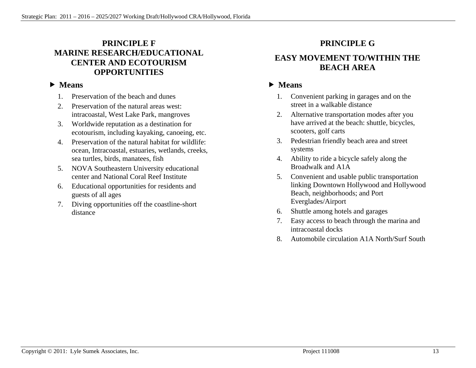### **PRINCIPLE F MARINE RESEARCH/EDUCATIONAL CENTER AND ECOTOURISM OPPORTUNITIES**

### • Means

- 1. Preservation of the beach and dunes
- 2. Preservation of the natural areas west: intracoastal, West Lake Park, mangroves
- 3. Worldwide reputation as a destination for ecotourism, including kayaking, canoeing, etc.
- 4. Preservation of the natural habitat for wildlife: ocean, Intracoastal, estuaries, wetlands, creeks, sea turtles, birds, manatees, fish
- 5. NOVA Southeastern University educational center and National Coral Reef Institute
- 6. Educational opportunities for residents and guests of all ages
- 7. Diving opportunities off the coastline-short distance

### **PRINCIPLE G**

### **EASY MOVEMENT TO/WITHIN THE BEACH AREA**

- 1. Convenient parking in garages and on the street in a walkable distance
- 2. Alternative transportation modes after you have arrived at the beach: shuttle, bicycles, scooters, golf carts
- 3. Pedestrian friendly beach area and street systems
- 4. Ability to ride a bicycle safely along the Broadwalk and A1A
- 5. Convenient and usable public transportation linking Downtown Hollywood and Hollywood Beach, neighborhoods; and Port Everglades/Airport
- 6. Shuttle among hotels and garages
- 7. Easy access to beach through the marina and intracoastal docks
- 8. Automobile circulation A1A North/Surf South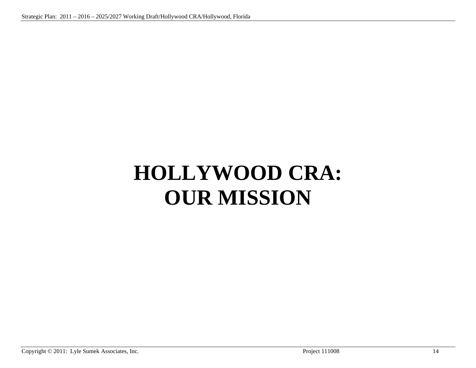## **HOLLYWOOD CRA: OUR MISSION**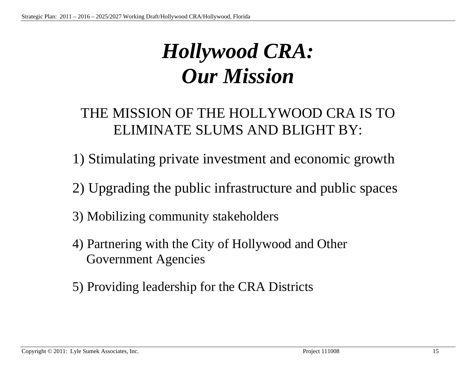### *Hollywood CRA: Our Mission*

### THE MISSION OF THE HOLLYWOOD CRA IS TO ELIMINATE SLUMS AND BLIGHT BY:

- 1) Stimulating private investment and economic growth
- 2) Upgrading the public infrastructure and public spaces
- 3) Mobilizing community stakeholders
- 4) Partnering with the City of Hollywood and Other Government Agencies
- 5) Providing leadership for the CRA Districts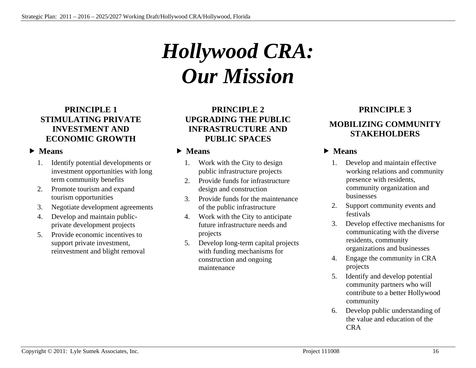## *Hollywood CRA: Our Mission*

### **PRINCIPLE 1 STIMULATING PRIVATE INVESTMENT AND ECONOMIC GROWTH**

### • Means

- 1. Identify potential developments or investment opportunities with long term community benefits
- 2. Promote tourism and expand tourism opportunities
- 3. Negotiate development agreements
- 4. Develop and maintain publicprivate development projects
- 5. Provide economic incentives to support private investment, reinvestment and blight removal

### **PRINCIPLE 2 UPGRADING THE PUBLIC INFRASTRUCTURE AND PUBLIC SPACES**

### • Means

- 1. Work with the City to design public infrastructure projects
- 2. Provide funds for infrastructure design and construction
- 3. Provide funds for the maintenance of the public infrastructure
- 4. Work with the City to anticipate future infrastructure needs and projects
- 5. Develop long-term capital projects with funding mechanisms for construction and ongoing maintenance

### **PRINCIPLE 3**

### **MOBILIZING COMMUNITY STAKEHOLDERS**

- 1. Develop and maintain effective working relations and community presence with residents, community organization and businesses
- 2. Support community events and festivals
- 3. Develop effective mechanisms for communicating with the diverse residents, community organizations and businesses
- 4. Engage the community in CRA projects
- 5. Identify and develop potential community partners who will contribute to a better Hollywood community
- 6. Develop public understanding of the value and education of the CRA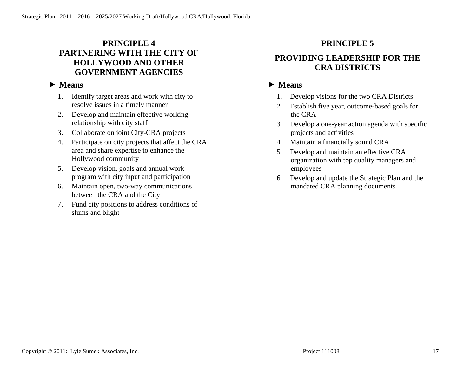### **PRINCIPLE 4 PARTNERING WITH THE CITY OF HOLLYWOOD AND OTHER GOVERNMENT AGENCIES**

### • Means

- 1. Identify target areas and work with city to resolve issues in a timely manner
- 2. Develop and maintain effective working relationship with city staff
- 3. Collaborate on joint City-CRA projects
- 4. Participate on city projects that affect the CRA area and share expertise to enhance the Hollywood community
- 5. Develop vision, goals and annual work program with city input and participation
- 6. Maintain open, two-way communications between the CRA and the City
- 7. Fund city positions to address conditions of slums and blight

### **PRINCIPLE 5**

### **PROVIDING LEADERSHIP FOR THE CRA DISTRICTS**

- 1. Develop visions for the two CRA Districts
- 2. Establish five year, outcome-based goals for the CRA
- 3. Develop a one-year action agenda with specific projects and activities
- 4. Maintain a financially sound CRA
- 5. Develop and maintain an effective CRA organization with top quality managers and employees
- 6. Develop and update the Strategic Plan and the mandated CRA planning documents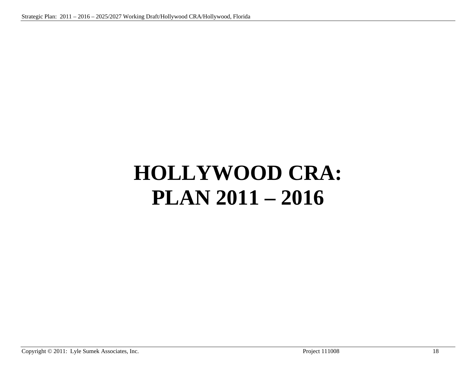## **HOLLYWOOD CRA: PLAN 2011 – 2016**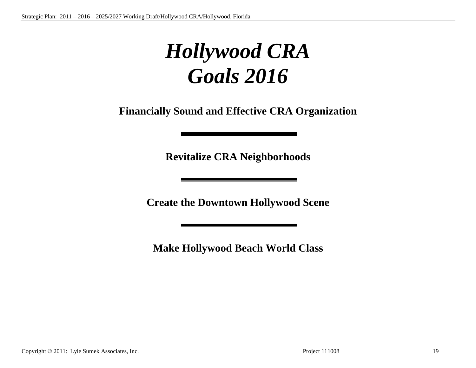### *Hollywood CRA Goals 2016*

**Financially Sound and Effective CRA Organization** 

**Revitalize CRA Neighborhoods** 

**Create the Downtown Hollywood Scene** 

**Make Hollywood Beach World Class**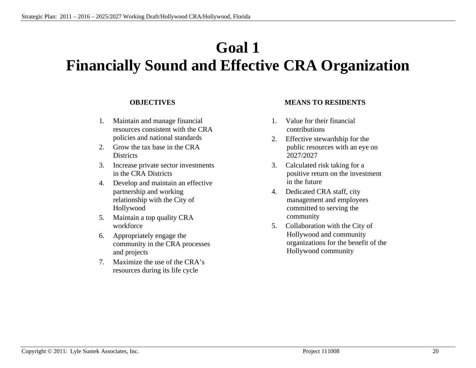### **Goal 1 Financially Sound and Effective CRA Organization**

#### **OBJECTIVES**

- 1. Maintain and manage financial resources consistent with the CRA policies and national standards
- 2. Grow the tax base in the CRA **Districts**
- 3. Increase private sector investments in the CRA Districts
- 4. Develop and maintain an effective partnership and working relationship with the City of Hollywood
- 5. Maintain a top quality CRA workforce
- 6. Appropriately engage the community in the CRA processes and projects
- 7. Maximize the use of the CRA's resources during its life cycle

#### **MEANS TO RESIDENTS**

- 1. Value for their financial contributions
- 2. Effective stewardship for the public resources with an eye on 2027/2027
- 3. Calculated risk taking for a positive return on the investment in the future
- 4. Dedicated CRA staff, city management and employees committed to serving the community
- 5. Collaboration with the City of Hollywood and community organizations for the benefit of the Hollywood community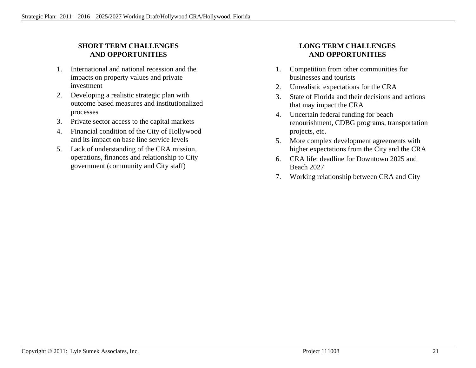### **SHORT TERM CHALLENGES AND OPPORTUNITIES**

- 1. International and national recession and the impacts on property values and private investment
- 2. Developing a realistic strategic plan with outcome based measures and institutionalized processes
- 3. Private sector access to the capital markets
- 4. Financial condition of the City of Hollywood and its impact on base line service levels
- 5. Lack of understanding of the CRA mission, operations, finances and relationship to City government (community and City staff)

### **LONG TERM CHALLENGES AND OPPORTUNITIES**

- 1. Competition from other communities for businesses and tourists
- 2. Unrealistic expectations for the CRA
- 3. State of Florida and their decisions and actions that may impact the CRA
- 4. Uncertain federal funding for beach renourishment, CDBG programs, transportation projects, etc.
- 5. More complex development agreements with higher expectations from the City and the CRA
- 6. CRA life: deadline for Downtown 2025 and Beach 2027
- 7. Working relationship between CRA and City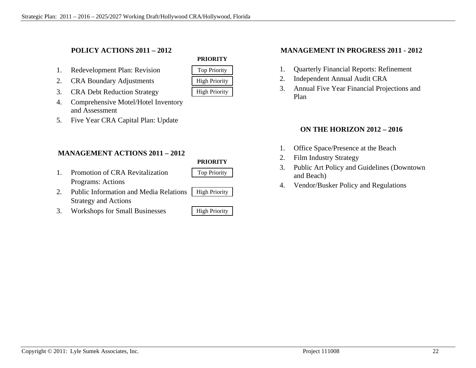### **POLICY ACTIONS 2011 – 2012**

- 1. Redevelopment Plan: Revision Top Priority
- 2. CRA Boundary Adjustments | High Priority
- 3. CRA Debt Reduction Strategy High Priority
- 4. Comprehensive Motel/Hotel Inventory and Assessment
- 5. Five Year CRA Capital Plan: Update

### **MANAGEMENT ACTIONS 2011 – 2012**

### **PRIORITY**

- 1. Promotion of CRA Revitalization Top Priority Programs: Actions
- 2. Public Information and Media Relations | High Priority Strategy and Actions
- 3. Workshops for Small Businesses High Priority

**PRIORITY** 

#### **MANAGEMENT IN PROGRESS 2011 - 2012**

- 1. Quarterly Financial Reports: Refinement
- 2. Independent Annual Audit CRA
- 3. Annual Five Year Financial Projections and Plan

### **ON THE HORIZON 2012 – 2016**

- 1. Office Space/Presence at the Beach
- 2. Film Industry Strategy
- 3. Public Art Policy and Guidelines (Downtown and Beach)
- 4. Vendor/Busker Policy and Regulations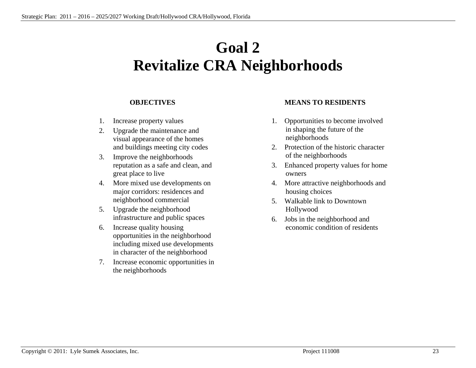### **Goal 2 Revitalize CRA Neighborhoods**

#### **OBJECTIVES**

- 1. Increase property values
- 2. Upgrade the maintenance and visual appearance of the homes and buildings meeting city codes
- 3. Improve the neighborhoods reputation as a safe and clean, and great place to live
- 4. More mixed use developments on major corridors: residences and neighborhood commercial
- 5. Upgrade the neighborhood infrastructure and public spaces
- 6. Increase quality housing opportunities in the neighborhood including mixed use developments in character of the neighborhood
- 7. Increase economic opportunities in the neighborhoods

#### **MEANS TO RESIDENTS**

- 1. Opportunities to become involved in shaping the future of the neighborhoods
- 2. Protection of the historic character of the neighborhoods
- 3. Enhanced property values for home owners
- 4. More attractive neighborhoods and housing choices
- 5. Walkable link to Downtown Hollywood
- 6. Jobs in the neighborhood and economic condition of residents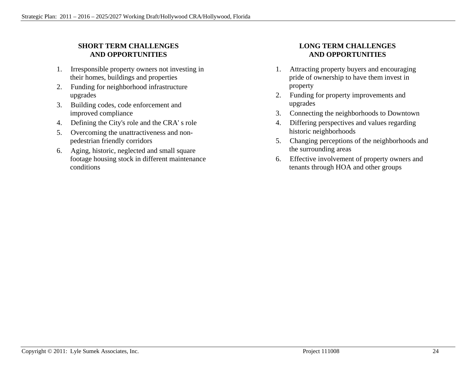### **SHORT TERM CHALLENGES AND OPPORTUNITIES**

- 1. Irresponsible property owners not investing in their homes, buildings and properties
- 2. Funding for neighborhood infrastructure upgrades
- 3. Building codes, code enforcement and improved compliance
- 4. Defining the City's role and the CRA' s role
- 5. Overcoming the unattractiveness and nonpedestrian friendly corridors
- 6. Aging, historic, neglected and small square footage housing stock in different maintenance conditions

### **LONG TERM CHALLENGES AND OPPORTUNITIES**

- 1. Attracting property buyers and encouraging pride of ownership to have them invest in property
- 2. Funding for property improvements and upgrades
- 3. Connecting the neighborhoods to Downtown
- 4. Differing perspectives and values regarding historic neighborhoods
- 5. Changing perceptions of the neighborhoods and the surrounding areas
- 6. Effective involvement of property owners and tenants through HOA and other groups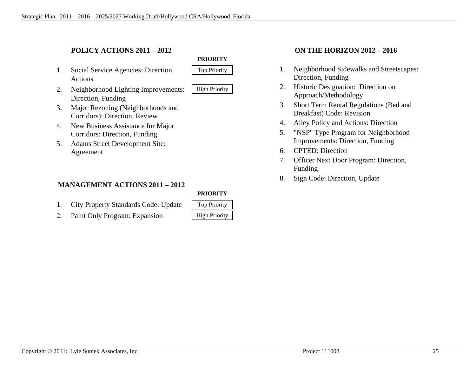### **POLICY ACTIONS 2011 – 2012**

- 1. Social Service Agencies: Direction, Top Priority Actions
- 2. Neighborhood Lighting Improvements: | High Priority Direction, Funding



- 
- 3. Major Rezoning (Neighborhoods and Corridors): Direction, Review
- 4. New Business Assistance for Major Corridors: Direction, Funding
- 5. Adams Street Development Site: Agreement

### **MANAGEMENT ACTIONS 2011 – 2012**

#### **PRIORITY**

- 1. City Property Standards Code: Update
- 2. Paint Only Program: Expansion

| <b>Top Priority</b>  |  |
|----------------------|--|
| <b>High Priority</b> |  |

#### **ON THE HORIZON 2012 – 2016**

- 1. Neighborhood Sidewalks and Streetscapes: Direction, Funding
- 2. Historic Designation: Direction on Approach/Methodology
- 3. Short Term Rental Regulations (Bed and Breakfast) Code: Revision
- 4. Alley Policy and Actions: Direction
- 5. "NSP" Type Program for Neighborhood Improvements: Direction, Funding
- 6. CPTED: Direction
- 7. Officer Next Door Program: Direction, Funding
- 8. Sign Code: Direction, Update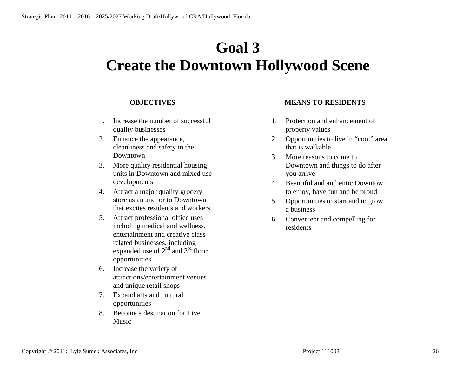### **Goal 3 Create the Downtown Hollywood Scene**

#### **OBJECTIVES**

- 1. Increase the number of successful quality businesses
- 2. Enhance the appearance, cleanliness and safety in the Downtown
- 3. More quality residential housing units in Downtown and mixed use developments
- 4. Attract a major quality grocery store as an anchor to Downtown that excites residents and workers
- 5. Attract professional office uses including medical and wellness, entertainment and creative class related businesses, including expanded use of  $2<sup>nd</sup>$  and  $3<sup>rd</sup>$  floor opportunities
- 6. Increase the variety of attractions/entertainment venues and unique retail shops
- 7. Expand arts and cultural opportunities
- 8. Become a destination for Live Music

#### **MEANS TO RESIDENTS**

- 1. Protection and enhancement of property values
- 2. Opportunities to live in "cool" area that is walkable
- 3. More reasons to come to Downtown and things to do after you arrive
- 4. Beautiful and authentic Downtown to enjoy, have fun and be proud
- 5. Opportunities to start and to grow a business
- 6. Convenient and compelling for residents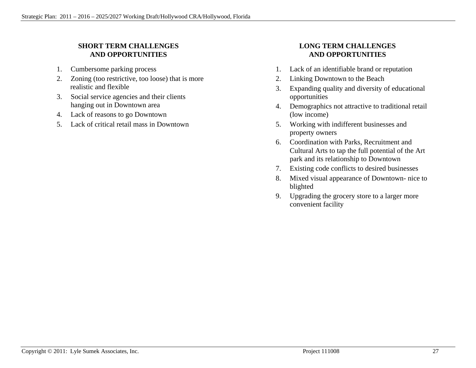### **SHORT TERM CHALLENGES AND OPPORTUNITIES**

- 1. Cumbersome parking process
- 2. Zoning (too restrictive, too loose) that is more realistic and flexible
- 3. Social service agencies and their clients hanging out in Downtown area
- 4. Lack of reasons to go Downtown
- 5. Lack of critical retail mass in Downtown

### **LONG TERM CHALLENGES AND OPPORTUNITIES**

- 1. Lack of an identifiable brand or reputation
- 2. Linking Downtown to the Beach
- 3. Expanding quality and diversity of educational opportunities
- 4. Demographics not attractive to traditional retail (low income)
- 5. Working with indifferent businesses and property owners
- 6. Coordination with Parks, Recruitment and Cultural Arts to tap the full potential of the Art park and its relationship to Downtown
- 7. Existing code conflicts to desired businesses
- 8. Mixed visual appearance of Downtown- nice to blighted
- 9. Upgrading the grocery store to a larger more convenient facility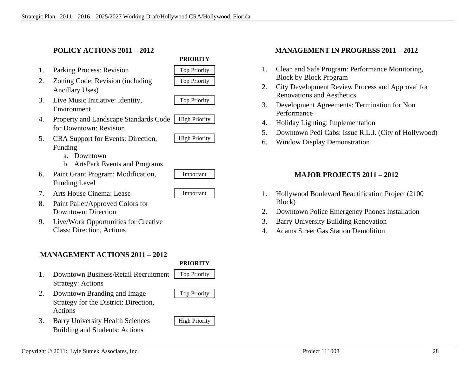Strategy: Actions

Actions

#### **POLICY ACTIONS 2011 – 2012**

- 1. Parking Process: Revision Top Priority
- 2. Zoning Code: Revision (including Top Priority Ancillary Uses)
- 3. Live Music Initiative: Identity, Top Priority Environment
- 4. Property and Landscape Standards Code | High Priority for Downtown: Revision
- 5. CRA Support for Events: Direction, High Priority Funding
	- a. Downtown
	- b. ArtsPark Events and Programs
- 6. Paint Grant Program: Modification, Important Funding Level
- 7. Arts House Cinema: Lease Important
- 8. Paint Pallet/Approved Colors for Downtown: Direction
- 9. Live/Work Opportunities for Creative Class: Direction, Actions

### **MANAGEMENT ACTIONS 2011 – 2012**

Strategy for the District: Direction,

Building and Students: Actions

**PRIORITY** 



**PRIORITY** 



### 2. Downtown Branding and Image Top Priority

### 3. Barry University Health Sciences | High Priority

### **MANAGEMENT IN PROGRESS 2011 – 2012**

- 1. Clean and Safe Program: Performance Monitoring, Block by Block Program
- 2. City Development Review Process and Approval for Renovations and Aesthetics
- 3. Development Agreements: Termination for Non Performance
- 4. Holiday Lighting: Implementation
- 5. Downtown Pedi Cabs: Issue R.L.I. (City of Hollywood)
- 6. Window Display Demonstration

### **MAJOR PROJECTS 2011 – 2012**

- 1. Hollywood Boulevard Beautification Project (2100 Block)
- 2. Downtown Police Emergency Phones Installation
- 3. Barry University Building Renovation
- 4. Adams Street Gas Station Demolition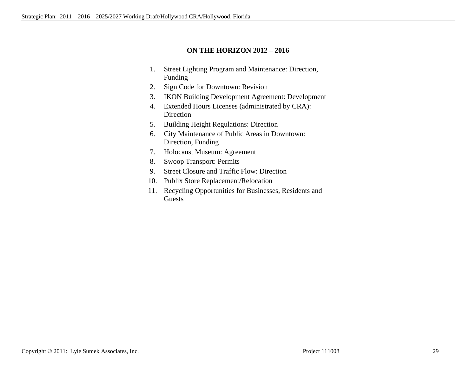#### **ON THE HORIZON 2012 – 2016**

- 1. Street Lighting Program and Maintenance: Direction, Funding
- 2. Sign Code for Downtown: Revision
- 3. IKON Building Development Agreement: Development
- 4. Extended Hours Licenses (administrated by CRA): Direction
- 5. Building Height Regulations: Direction
- 6. City Maintenance of Public Areas in Downtown: Direction, Funding
- 7. Holocaust Museum: Agreement
- 8. Swoop Transport: Permits
- 9. Street Closure and Traffic Flow: Direction
- 10. Publix Store Replacement/Relocation
- 11. Recycling Opportunities for Businesses, Residents and Guests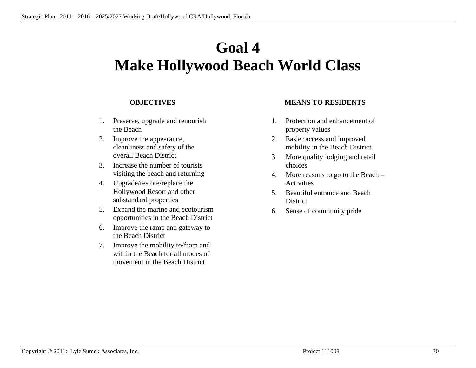### **Goal 4 Make Hollywood Beach World Class**

#### **OBJECTIVES**

- 1. Preserve, upgrade and renourish the Beach
- 2. Improve the appearance, cleanliness and safety of the overall Beach District
- 3. Increase the number of tourists visiting the beach and returning
- 4. Upgrade/restore/replace the Hollywood Resort and other substandard properties
- 5. Expand the marine and ecotourism opportunities in the Beach District
- 6. Improve the ramp and gateway to the Beach District
- 7. Improve the mobility to/from and within the Beach for all modes of movement in the Beach District

#### **MEANS TO RESIDENTS**

- 1. Protection and enhancement of property values
- 2. Easier access and improved mobility in the Beach District
- 3. More quality lodging and retail choices
- 4. More reasons to go to the Beach Activities
- 5. Beautiful entrance and Beach **District**
- 6. Sense of community pride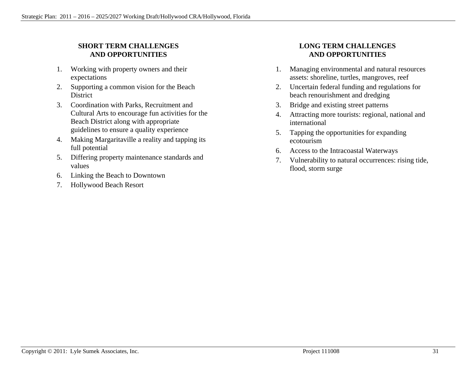### **SHORT TERM CHALLENGES AND OPPORTUNITIES**

- 1. Working with property owners and their expectations
- 2. Supporting a common vision for the Beach District
- 3. Coordination with Parks, Recruitment and Cultural Arts to encourage fun activities for the Beach District along with appropriate guidelines to ensure a quality experience
- 4. Making Margaritaville a reality and tapping its full potential
- 5. Differing property maintenance standards and values
- 6. Linking the Beach to Downtown
- 7. Hollywood Beach Resort

### **LONG TERM CHALLENGES AND OPPORTUNITIES**

- 1. Managing environmental and natural resources assets: shoreline, turtles, mangroves, reef
- 2. Uncertain federal funding and regulations for beach renourishment and dredging
- 3. Bridge and existing street patterns
- 4. Attracting more tourists: regional, national and international
- 5. Tapping the opportunities for expanding ecotourism
- 6. Access to the Intracoastal Waterways
- 7. Vulnerability to natural occurrences: rising tide, flood, storm surge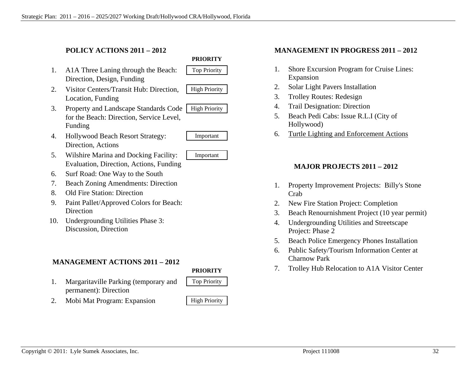### **POLICY ACTIONS 2011 – 2012**

- 1. A1A Three Laning through the Beach: Top Priority Direction, Design, Funding
- 2. Visitor Centers/Transit Hub: Direction, | High Priority Location, Funding



- 
- 



- 3. Property and Landscape Standards Code | High Priority for the Beach: Direction, Service Level, Funding
- 4. Hollywood Beach Resort Strategy: Important Direction, Actions



- 5. Wilshire Marina and Docking Facility: Important Evaluation, Direction, Actions, Funding
- 6. Surf Road: One Way to the South
- 7. Beach Zoning Amendments: Direction
- 8. Old Fire Station: Direction
- 9. Paint Pallet/Approved Colors for Beach: Direction
- 10. Undergrounding Utilities Phase 3: Discussion, Direction

### **MANAGEMENT ACTIONS 2011 – 2012**

#### **PRIORITY**

- 1. Margaritaville Parking (temporary and Top Priority permanent): Direction
- 2. Mobi Mat Program: Expansion | High Priority

#### **MANAGEMENT IN PROGRESS 2011 – 2012**

- 1. Shore Excursion Program for Cruise Lines: Expansion
- 2. Solar Light Pavers Installation
- 3. Trolley Routes: Redesign
- 4. Trail Designation: Direction
- 5. Beach Pedi Cabs: Issue R.L.I (City of Hollywood)
- 6. Turtle Lighting and Enforcement Actions

### **MAJOR PROJECTS 2011 – 2012**

- 1. Property Improvement Projects: Billy's Stone Crab
- 2. New Fire Station Project: Completion
- 3. Beach Renournishment Project (10 year permit)
- 4. Undergrounding Utilities and Streetscape Project: Phase 2
- 5. Beach Police Emergency Phones Installation
- 6. Public Safety/Tourism Information Center at Charnow Park
- 7. Trolley Hub Relocation to A1A Visitor Center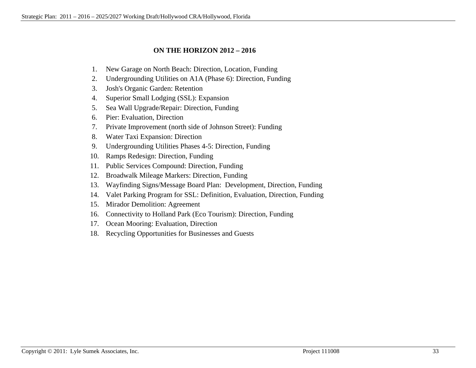#### **ON THE HORIZON 2012 – 2016**

- 1. New Garage on North Beach: Direction, Location, Funding
- 2. Undergrounding Utilities on A1A (Phase 6): Direction, Funding
- 3. Josh's Organic Garden: Retention
- 4. Superior Small Lodging (SSL): Expansion
- 5. Sea Wall Upgrade/Repair: Direction, Funding
- 6. Pier: Evaluation, Direction
- 7. Private Improvement (north side of Johnson Street): Funding
- 8. Water Taxi Expansion: Direction
- 9. Undergrounding Utilities Phases 4-5: Direction, Funding
- 10. Ramps Redesign: Direction, Funding
- 11. Public Services Compound: Direction, Funding
- 12. Broadwalk Mileage Markers: Direction, Funding
- 13. Wayfinding Signs/Message Board Plan: Development, Direction, Funding
- 14. Valet Parking Program for SSL: Definition, Evaluation, Direction, Funding
- 15. Mirador Demolition: Agreement
- 16. Connectivity to Holland Park (Eco Tourism): Direction, Funding
- 17. Ocean Mooring: Evaluation, Direction
- 18. Recycling Opportunities for Businesses and Guests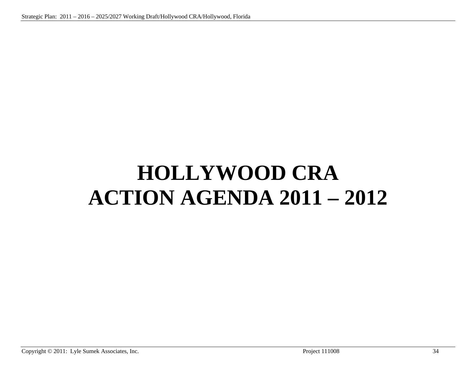## **HOLLYWOOD CRA ACTION AGENDA 2011 – 2012**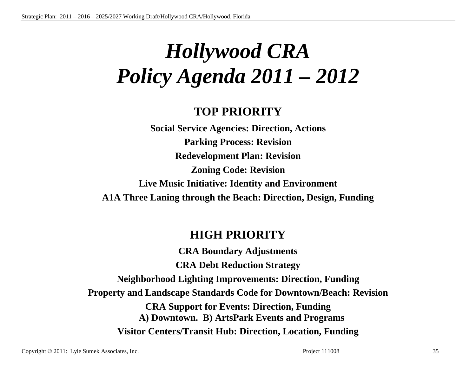## *Hollywood CRA Policy Agenda 2011 – 2012*

### **TOP PRIORITY**

**Social Service Agencies: Direction, Actions Parking Process: Revision Redevelopment Plan: Revision Zoning Code: Revision Live Music Initiative: Identity and Environment A1A Three Laning through the Beach: Direction, Design, Funding** 

### **HIGH PRIORITY**

**CRA Boundary Adjustments CRA Debt Reduction Strategy Neighborhood Lighting Improvements: Direction, Funding Property and Landscape Standards Code for Downtown/Beach: Revision CRA Support for Events: Direction, Funding A) Downtown. B) ArtsPark Events and Programs Visitor Centers/Transit Hub: Direction, Location, Funding**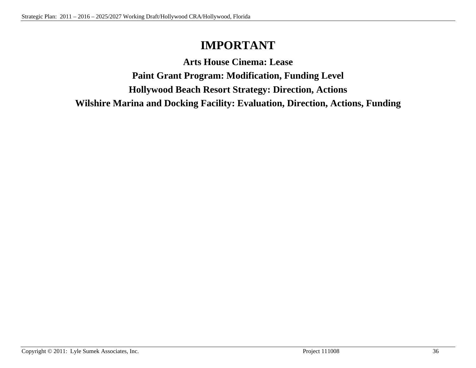### **IMPORTANT**

**Arts House Cinema: Lease** 

**Paint Grant Program: Modification, Funding Level Hollywood Beach Resort Strategy: Direction, Actions Wilshire Marina and Docking Facility: Evaluation, Direction, Actions, Funding**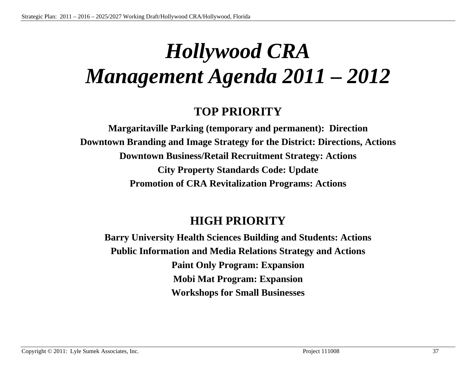### *Hollywood CRA Management Agenda 2011 – 2012*

### **TOP PRIORITY**

**Margaritaville Parking (temporary and permanent): Direction Downtown Branding and Image Strategy for the District: Directions, Actions Downtown Business/Retail Recruitment Strategy: Actions City Property Standards Code: Update Promotion of CRA Revitalization Programs: Actions** 

### **HIGH PRIORITY**

**Barry University Health Sciences Building and Students: Actions Public Information and Media Relations Strategy and Actions Paint Only Program: Expansion Mobi Mat Program: Expansion Workshops for Small Businesses**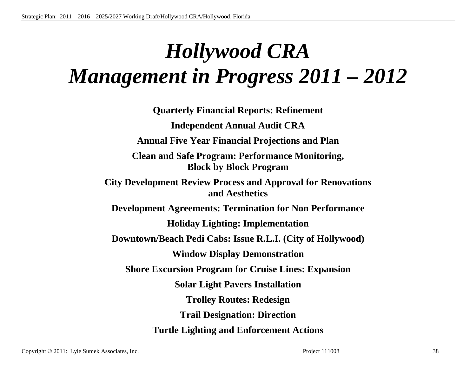## *Hollywood CRA Management in Progress 2011 – 2012*

**Quarterly Financial Reports: Refinement Independent Annual Audit CRA Annual Five Year Financial Projections and Plan Clean and Safe Program: Performance Monitoring, Block by Block Program City Development Review Process and Approval for Renovations and Aesthetics Development Agreements: Termination for Non Performance Holiday Lighting: Implementation Downtown/Beach Pedi Cabs: Issue R.L.I. (City of Hollywood) Window Display Demonstration Shore Excursion Program for Cruise Lines: Expansion Solar Light Pavers Installation Trolley Routes: Redesign Trail Designation: Direction Turtle Lighting and Enforcement Actions**